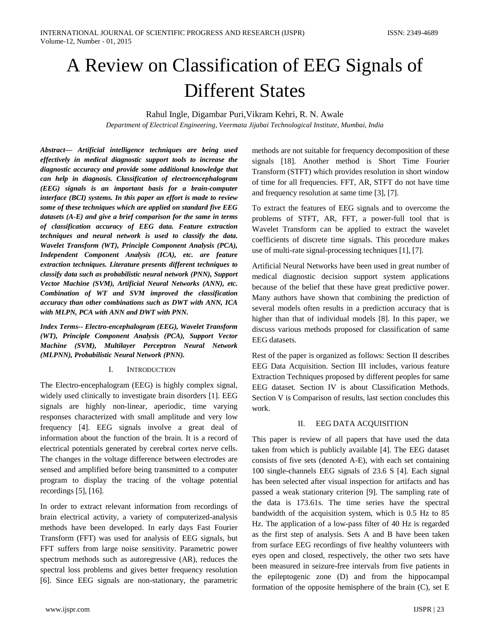# A Review on Classification of EEG Signals of Different States

Rahul Ingle, Digambar Puri,Vikram Kehri, R. N. Awale

*Department of Electrical Engineering, Veermata Jijabai Technological Institute, Mumbai, India*

*Abstract— Artificial intelligence techniques are being used effectively in medical diagnostic support tools to increase the diagnostic accuracy and provide some additional knowledge that can help in diagnosis. Classification of electroencephalogram (EEG) signals is an important basis for a brain-computer interface (BCI) systems. In this paper an effort is made to review some of these techniques which are applied on standard five EEG datasets (A-E) and give a brief comparison for the same in terms of classification accuracy of EEG data. Feature extraction techniques and neural network is used to classify the data. Wavelet Transform (WT), Principle Component Analysis (PCA), Independent Component Analysis (ICA), etc. are feature extraction techniques. Literature presents different techniques to classify data such as probabilistic neural network (PNN), Support Vector Machine (SVM), Artificial Neural Networks (ANN), etc. Combination of WT and SVM improved the classification accuracy than other combinations such as DWT with ANN, ICA with MLPN, PCA with ANN and DWT with PNN.*

*Index Terms-- Electro-encephalogram (EEG), Wavelet Transform (WT), Principle Component Analysis (PCA), Support Vector Machine (SVM), Multilayer Perceptron Neural Network (MLPNN), Probabilistic Neural Network (PNN).*

## I. INTRODUCTION

The Electro-encephalogram (EEG) is highly complex signal, widely used clinically to investigate brain disorders [1]. EEG signals are highly non-linear, aperiodic, time varying responses characterized with small amplitude and very low frequency [4]. EEG signals involve a great deal of information about the function of the brain. It is a record of electrical potentials generated by cerebral cortex nerve cells. The changes in the voltage difference between electrodes are sensed and amplified before being transmitted to a computer program to display the tracing of the voltage potential recordings [5], [16].

In order to extract relevant information from recordings of brain electrical activity, a variety of computerized-analysis methods have been developed. In early days Fast Fourier Transform (FFT) was used for analysis of EEG signals, but FFT suffers from large noise sensitivity. Parametric power spectrum methods such as autoregressive (AR), reduces the spectral loss problems and gives better frequency resolution [6]. Since EEG signals are non-stationary, the parametric

methods are not suitable for frequency decomposition of these signals [18]. Another method is Short Time Fourier Transform (STFT) which provides resolution in short window of time for all frequencies. FFT, AR, STFT do not have time and frequency resolution at same time [3], [7].

To extract the features of EEG signals and to overcome the problems of STFT, AR, FFT, a power-full tool that is Wavelet Transform can be applied to extract the wavelet coefficients of discrete time signals. This procedure makes use of multi-rate signal-processing techniques [1], [7].

Artificial Neural Networks have been used in great number of medical diagnostic decision support system applications because of the belief that these have great predictive power. Many authors have shown that combining the prediction of several models often results in a prediction accuracy that is higher than that of individual models [8]. In this paper, we discuss various methods proposed for classification of same EEG datasets.

Rest of the paper is organized as follows: Section II describes EEG Data Acquisition. Section III includes, various feature Extraction Techniques proposed by different peoples for same EEG dataset. Section IV is about Classification Methods. Section V is Comparison of results, last section concludes this work.

## II. EEG DATA ACQUISITION

This paper is review of all papers that have used the data taken from which is publicly available [4]. The EEG dataset consists of five sets (denoted A-E), with each set containing 100 single-channels EEG signals of 23.6 S [4]. Each signal has been selected after visual inspection for artifacts and has passed a weak stationary criterion [9]. The sampling rate of the data is 173.61s. The time series have the spectral bandwidth of the acquisition system, which is 0.5 Hz to 85 Hz. The application of a low-pass filter of 40 Hz is regarded as the first step of analysis. Sets A and B have been taken from surface EEG recordings of five healthy volunteers with eyes open and closed, respectively, the other two sets have been measured in seizure-free intervals from five patients in the epileptogenic zone (D) and from the hippocampal formation of the opposite hemisphere of the brain (C), set E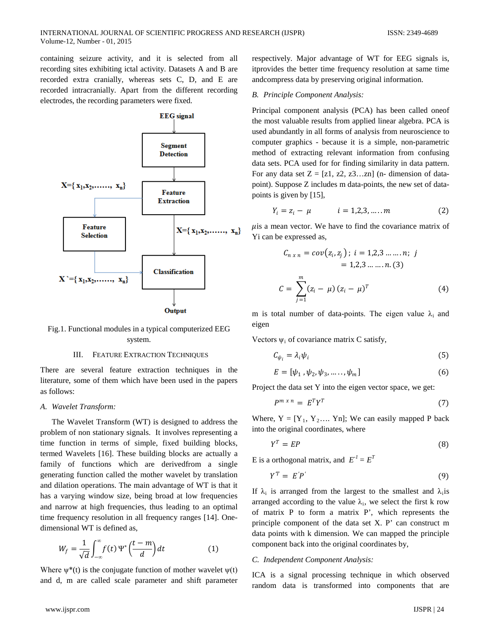containing seizure activity, and it is selected from all recording sites exhibiting ictal activity. Datasets A and B are recorded extra cranially, whereas sets C, D, and E are recorded intracranially. Apart from the different recording electrodes, the recording parameters were fixed.



Fig.1. Functional modules in a typical computerized EEG system.

#### III. FEATURE EXTRACTION TECHNIQUES

There are several feature extraction techniques in the literature, some of them which have been used in the papers as follows:

#### *A. Wavelet Transform:*

The Wavelet Transform (WT) is designed to address the problem of non stationary signals. It involves representing a time function in terms of simple, fixed building blocks, termed Wavelets [16]. These building blocks are actually a family of functions which are derivedfrom a single generating function called the mother wavelet by translation and dilation operations. The main advantage of WT is that it has a varying window size, being broad at low frequencies and narrow at high frequencies, thus leading to an optimal time frequency resolution in all frequency ranges [14]. Onedimensional WT is defined as,

$$
W_f = \frac{1}{\sqrt{d}} \int_{-\infty}^{\infty} f(t) \Psi^* \left( \frac{t - m}{d} \right) dt \tag{1}
$$

Where  $\psi^*(t)$  is the conjugate function of mother wavelet  $\psi(t)$ and d, m are called scale parameter and shift parameter respectively. Major advantage of WT for EEG signals is, itprovides the better time frequency resolution at same time andcompress data by preserving original information.

#### *B. Principle Component Analysis:*

Principal component analysis (PCA) has been called oneof the most valuable results from applied linear algebra. PCA is used abundantly in all forms of analysis from neuroscience to computer graphics - because it is a simple, non-parametric method of extracting relevant information from confusing data sets. PCA used for for finding similarity in data pattern. For any data set  $Z = [z1, z2, z3...zn]$  (n- dimension of datapoint). Suppose Z includes m data-points, the new set of datapoints is given by [15],

$$
Y_i = z_i - \mu \qquad i = 1, 2, 3, \dots, m \tag{2}
$$

 $\mu$ is a mean vector. We have to find the covariance matrix of Yi can be expressed as,

$$
C_{n \times n} = cov(z_i, z_j) ; i = 1, 2, 3 \dots \dots n; j
$$
  
= 1, 2, 3 \dots \dots n. (3)  

$$
C = \sum_{j=1}^{m} (z_i - \mu) (z_i - \mu)^T
$$
 (4)

m is total number of data-points. The eigen value  $\lambda_i$  and eigen

Vectors  $\psi_i$  of covariance matrix C satisfy,

$$
C_{\psi_i} = \lambda_i \psi_i \tag{5}
$$

$$
E = [\psi_1, \psi_2, \psi_3, \dots, \psi_m]
$$
 (6)

Project the data set Y into the eigen vector space, we get:

$$
P^{m \times n} = E^T Y^T \tag{7}
$$

Where,  $Y = [Y_1, Y_2, \dots, Y_n]$ ; We can easily mapped P back into the original coordinates, where

$$
Y^T = EP \tag{8}
$$

E is a orthogonal matrix, and  $E^I = E^T$ 

$$
Y^T = E'P'
$$
 (9)

If  $\lambda_i$  is arranged from the largest to the smallest and  $\lambda_i$  is arranged according to the value  $\lambda_i$ , we select the first k row of matrix P to form a matrix P', which represents the principle component of the data set X. P' can construct m data points with k dimension. We can mapped the principle component back into the original coordinates by,

## *C. Independent Component Analysis:*

ICA is a signal processing technique in which observed random data is transformed into components that are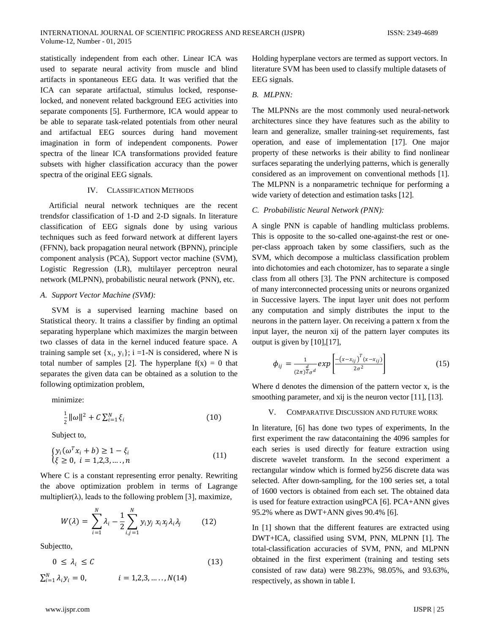statistically independent from each other. Linear ICA was used to separate neural activity from muscle and blind artifacts in spontaneous EEG data. It was verified that the ICA can separate artifactual, stimulus locked, responselocked, and nonevent related background EEG activities into separate components [5]. Furthermore, ICA would appear to be able to separate task-related potentials from other neural and artifactual EEG sources during hand movement imagination in form of independent components. Power spectra of the linear ICA transformations provided feature subsets with higher classification accuracy than the power spectra of the original EEG signals.

## IV. CLASSIFICATION METHODS

Artificial neural network techniques are the recent trendsfor classification of 1-D and 2-D signals. In literature classification of EEG signals done by using various techniques such as feed forward network at different layers (FFNN), back propagation neural network (BPNN), principle component analysis (PCA), Support vector machine (SVM), Logistic Regression (LR), multilayer perceptron neural network (MLPNN), probabilistic neural network (PNN), etc.

### *A. Support Vector Machine (SVM):*

SVM is a supervised learning machine based on Statistical theory. It trains a classifier by finding an optimal separating hyperplane which maximizes the margin between two classes of data in the kernel induced feature space. A training sample set  $\{x_i, y_i\}$ ; i =1-N is considered, where N is total number of samples [2]. The hyperplane  $f(x) = 0$  that separates the given data can be obtained as a solution to the following optimization problem,

minimize:

$$
\frac{1}{2} \|\omega\|^2 + C \sum_{i=1}^{N} \xi_i
$$
 (10)

Subject to,

$$
\begin{cases} y_i(\omega^T x_i + b) \ge 1 - \xi_i \\ \xi \ge 0, \ i = 1, 2, 3, \dots, n \end{cases}
$$
 (11)

Where C is a constant representing error penalty. Rewriting the above optimization problem in terms of Lagrange multiplier( $\lambda$ ), leads to the following problem [3], maximize,

$$
W(\lambda) = \sum_{i=1}^{N} \lambda_i - \frac{1}{2} \sum_{i,j=1}^{N} y_i y_j x_i x_j \lambda_i \lambda_j
$$
 (12)

Subjectto,

$$
0 \leq \lambda_i \leq C \tag{13}
$$

$$
\sum_{i=1}^{N} \lambda_i y_i = 0, \qquad i = 1, 2, 3, \dots, N(14)
$$

Holding hyperplane vectors are termed as support vectors. In literature SVM has been used to classify multiple datasets of EEG signals.

## *B. MLPNN:*

The MLPNNs are the most commonly used neural-network architectures since they have features such as the ability to learn and generalize, smaller training-set requirements, fast operation, and ease of implementation [17]. One major property of these networks is their ability to find nonlinear surfaces separating the underlying patterns, which is generally considered as an improvement on conventional methods [1]. The MLPNN is a nonparametric technique for performing a wide variety of detection and estimation tasks [12].

## *C. Probabilistic Neural Network (PNN):*

A single PNN is capable of handling multiclass problems. This is opposite to the so-called one-against-the rest or oneper-class approach taken by some classifiers, such as the SVM, which decompose a multiclass classification problem into dichotomies and each chotomizer, has to separate a single class from all others [3]. The PNN architecture is composed of many interconnected processing units or neurons organized in Successive layers. The input layer unit does not perform any computation and simply distributes the input to the neurons in the pattern layer. On receiving a pattern x from the input layer, the neuron xij of the pattern layer computes its output is given by [10],[17],

$$
\phi_{ij} = \frac{1}{(2\pi)^{\frac{d}{2}}\sigma^d} \exp\left[\frac{-(x-x_{ij})^T (x-x_{ij})}{2\sigma^2}\right]
$$
(15)

Where d denotes the dimension of the pattern vector x, is the smoothing parameter, and xij is the neuron vector [11], [13].

#### V. COMPARATIVE DISCUSSION AND FUTURE WORK

In literature, [6] has done two types of experiments, In the first experiment the raw datacontaining the 4096 samples for each series is used directly for feature extraction using discrete wavelet transform. In the second experiment a rectangular window which is formed by256 discrete data was selected. After down-sampling, for the 100 series set, a total of 1600 vectors is obtained from each set. The obtained data is used for feature extraction usingPCA [6]. PCA+ANN gives 95.2% where as DWT+ANN gives 90.4% [6].

In [1] shown that the different features are extracted using DWT+ICA, classified using SVM, PNN, MLPNN [1]. The total-classification accuracies of SVM, PNN, and MLPNN obtained in the first experiment (training and testing sets consisted of raw data) were 98.23%, 98.05%, and 93.63%, respectively, as shown in table I.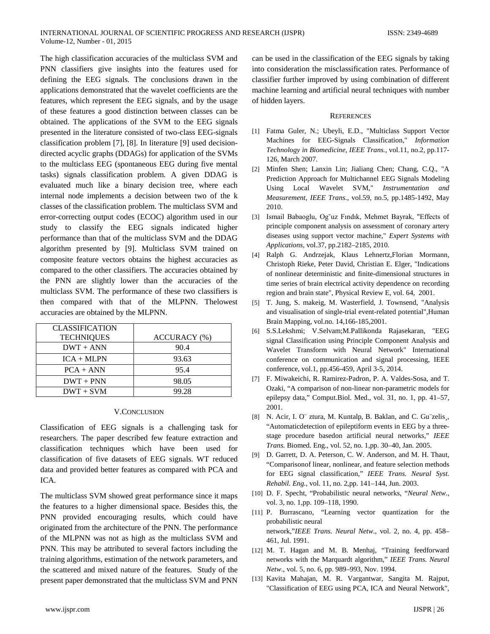The high classification accuracies of the multiclass SVM and PNN classifiers give insights into the features used for defining the EEG signals. The conclusions drawn in the applications demonstrated that the wavelet coefficients are the features, which represent the EEG signals, and by the usage of these features a good distinction between classes can be obtained. The applications of the SVM to the EEG signals presented in the literature consisted of two-class EEG-signals classification problem [7], [8]. In literature [9] used decisiondirected acyclic graphs (DDAGs) for application of the SVMs to the multiclass EEG (spontaneous EEG during five mental tasks) signals classification problem. A given DDAG is evaluated much like a binary decision tree, where each internal node implements a decision between two of the k classes of the classification problem. The multiclass SVM and error-correcting output codes (ECOC) algorithm used in our study to classify the EEG signals indicated higher performance than that of the multiclass SVM and the DDAG algorithm presented by [9]. Multiclass SVM trained on composite feature vectors obtains the highest accuracies as compared to the other classifiers. The accuracies obtained by the PNN are slightly lower than the accuracies of the multiclass SVM. The performance of these two classifiers is then compared with that of the MLPNN. Thelowest accuracies are obtained by the MLPNN.

| <b>CLASSIFICATION</b><br><b>TECHNIQUES</b> | ACCURACY (%) |
|--------------------------------------------|--------------|
| $DWT + ANN$                                | 90.4         |
| $ICA + MLPN$                               | 93.63        |
| $PCA + ANN$                                | 95.4         |
| $DWT + PNN$                                | 98.05        |
| $DWT + SVM$                                | 99.28        |

#### V.CONCLUSION

Classification of EEG signals is a challenging task for researchers. The paper described few feature extraction and classification techniques which have been used for classification of five datasets of EEG signals. WT reduced data and provided better features as compared with PCA and ICA.

The multiclass SVM showed great performance since it maps the features to a higher dimensional space. Besides this, the PNN provided encouraging results, which could have originated from the architecture of the PNN. The performance of the MLPNN was not as high as the multiclass SVM and PNN. This may be attributed to several factors including the training algorithms, estimation of the network parameters, and the scattered and mixed nature of the features. Study of the present paper demonstrated that the multiclass SVM and PNN

can be used in the classification of the EEG signals by taking into consideration the misclassification rates. Performance of classifier further improved by using combination of different machine learning and artificial neural techniques with number of hidden layers.

#### **REFERENCES**

- [1] Fatma Guler, N.; Ubeyli, E.D., "Multiclass Support Vector Machines for EEG-Signals Classification," *Information Technology in Biomedicine, IEEE Trans.*, vol.11, no.2, pp.117- 126, March 2007.
- [2] Minfen Shen; Lanxin Lin; Jialiang Chen; Chang, C.Q., "A Prediction Approach for Multichannel EEG Signals Modeling Using Local Wavelet SVM," *Instrumentation and Measurement, IEEE Trans.*, vol.59, no.5, pp.1485-1492, May 2010.
- [3] Ismail Babaoglu, Og˘uz Fındık, Mehmet Bayrak, "Effects of principle component analysis on assessment of coronary artery diseases using support vector machine," *Expert Systems with Applications*, vol.37, pp.2182–2185, 2010.
- [4] Ralph G. Andrzejak, Klaus Lehnertz,Florian Mormann, Christoph Rieke, Peter David, Christian E. Elger, "Indications of nonlinear deterministic and finite-dimensional structures in time series of brain electrical activity dependence on recording region and brain state", Physical Review E, vol. 64, 2001.
- [5] T. Jung, S. makeig, M. Wasterfield, J. Townsend, "Analysis and visualisation of single-trial event-related potential",Human Brain Mapping, vol.no. 14,166-185,2001.
- [6] S.S.Lekshmi; V.Selvam;M.Pallikonda Rajasekaran, "EEG signal Classification using Principle Component Analysis and Wavelet Transform with Neural Network" International conference on communication and signal processing, IEEE conference, vol.1, pp.456-459, April 3-5, 2014.
- [7] F. Miwakeichi, R. Ramirez-Padron, P. A. Valdes-Sosa, and T. Ozaki, "A comparison of non-linear non-parametric models for epilepsy data," Comput.Biol. Med., vol. 31, no. 1, pp. 41–57, 2001.
- [8] N. Acir, I. O¨ ztura, M. Kuntalp, B. Baklan, and C. Gu¨zelis¸, "Automaticdetection of epileptiform events in EEG by a threestage procedure basedon artificial neural networks," *IEEE Trans.* Biomed. Eng., vol. 52, no. 1,pp. 30–40, Jan. 2005.
- [9] D. Garrett, D. A. Peterson, C. W. Anderson, and M. H. Thaut, "Comparisonof linear, nonlinear, and feature selection methods for EEG signal classification," *IEEE Trans. Neural Syst. Rehabil. Eng.,* vol. 11, no. 2,pp. 141–144, Jun. 2003.
- [10] D. F. Specht, "Probabilistic neural networks, "*Neural Netw*., vol. 3, no. 1,pp. 109–118, 1990.
- [11] P. Burrascano, "Learning vector quantization for the probabilistic neural network,"*IEEE Trans. Neural Netw*., vol. 2, no. 4, pp. 458– 461, Jul. 1991.
- [12] M. T. Hagan and M. B. Menhaj, "Training feedforward networks with the Marquardt algorithm," *IEEE Trans. Neural Netw*., vol. 5, no. 6, pp. 989–993, Nov. 1994.
- [13] Kavita Mahajan, M. R. Vargantwar, Sangita M. Rajput, "Classification of EEG using PCA, ICA and Neural Network",